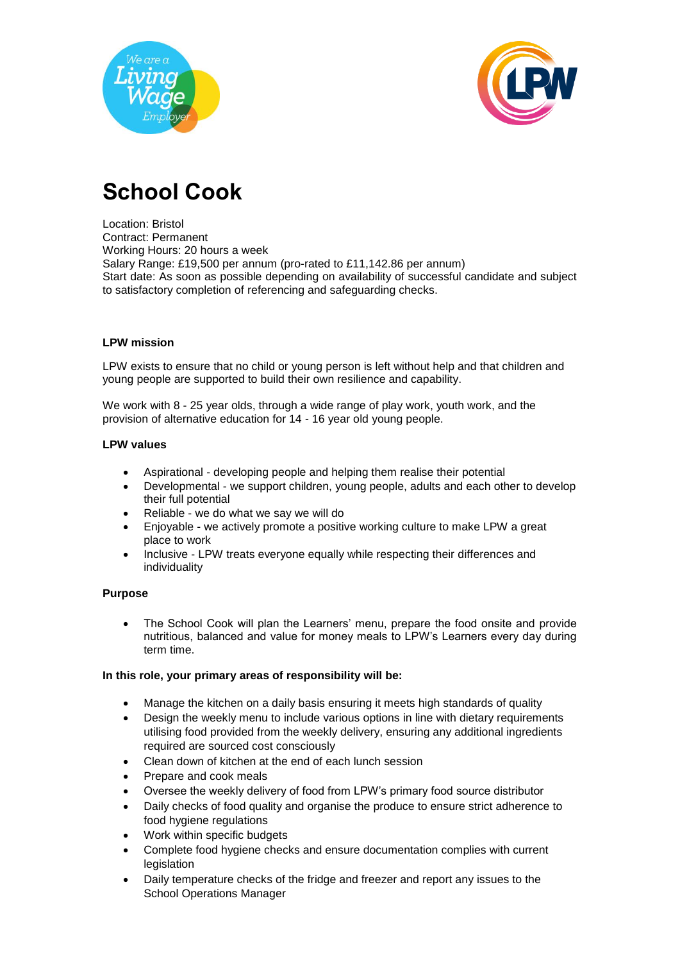



# **School Cook**

Location: Bristol Contract: Permanent Working Hours: 20 hours a week Salary Range: £19,500 per annum (pro-rated to £11,142.86 per annum) Start date: As soon as possible depending on availability of successful candidate and subject to satisfactory completion of referencing and safeguarding checks.

## **LPW mission**

LPW exists to ensure that no child or young person is left without help and that children and young people are supported to build their own resilience and capability.

We work with 8 - 25 year olds, through a wide range of play work, youth work, and the provision of alternative education for 14 - 16 year old young people.

## **LPW values**

- Aspirational developing people and helping them realise their potential
- Developmental we support children, young people, adults and each other to develop their full potential
- Reliable we do what we say we will do
- Enjoyable we actively promote a positive working culture to make LPW a great place to work
- Inclusive LPW treats everyone equally while respecting their differences and individuality

#### **Purpose**

 The School Cook will plan the Learners' menu, prepare the food onsite and provide nutritious, balanced and value for money meals to LPW's Learners every day during term time.

## **In this role, your primary areas of responsibility will be:**

- Manage the kitchen on a daily basis ensuring it meets high standards of quality
- Design the weekly menu to include various options in line with dietary requirements utilising food provided from the weekly delivery, ensuring any additional ingredients required are sourced cost consciously
- Clean down of kitchen at the end of each lunch session
- Prepare and cook meals
- Oversee the weekly delivery of food from LPW's primary food source distributor
- Daily checks of food quality and organise the produce to ensure strict adherence to food hygiene regulations
- Work within specific budgets
- Complete food hygiene checks and ensure documentation complies with current legislation
- Daily temperature checks of the fridge and freezer and report any issues to the School Operations Manager